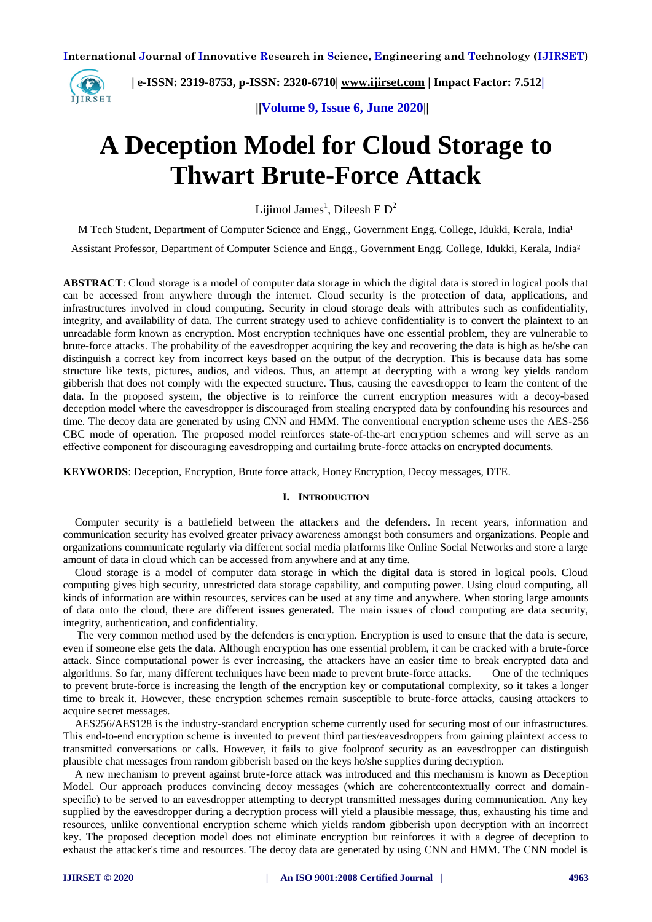

 **| e-ISSN: 2319-8753, p-ISSN: 2320-6710| [www.ijirset.com](http://www.ijirset.com/) | Impact Factor: 7.512|**

 **||Volume 9, Issue 6, June 2020||** 

# **A Deception Model for Cloud Storage to Thwart Brute-Force Attack**

Lijimol James<sup>1</sup>, Dileesh E D<sup>2</sup>

M Tech Student, Department of Computer Science and Engg., Government Engg. College, Idukki, Kerala, India<sup>1</sup>

Assistant Professor, Department of Computer Science and Engg., Government Engg. College, Idukki, Kerala, India²

**ABSTRACT**: Cloud storage is a model of computer data storage in which the digital data is stored in logical pools that can be accessed from anywhere through the internet. Cloud security is the protection of data, applications, and infrastructures involved in cloud computing. Security in cloud storage deals with attributes such as confidentiality, integrity, and availability of data. The current strategy used to achieve confidentiality is to convert the plaintext to an unreadable form known as encryption. Most encryption techniques have one essential problem, they are vulnerable to brute-force attacks. The probability of the eavesdropper acquiring the key and recovering the data is high as he/she can distinguish a correct key from incorrect keys based on the output of the decryption. This is because data has some structure like texts, pictures, audios, and videos. Thus, an attempt at decrypting with a wrong key yields random gibberish that does not comply with the expected structure. Thus, causing the eavesdropper to learn the content of the data. In the proposed system, the objective is to reinforce the current encryption measures with a decoy-based deception model where the eavesdropper is discouraged from stealing encrypted data by confounding his resources and time. The decoy data are generated by using CNN and HMM. The conventional encryption scheme uses the AES-256 CBC mode of operation. The proposed model reinforces state-of-the-art encryption schemes and will serve as an effective component for discouraging eavesdropping and curtailing brute-force attacks on encrypted documents.

**KEYWORDS**: Deception, Encryption, Brute force attack, Honey Encryption, Decoy messages, DTE.

#### **I. INTRODUCTION**

Computer security is a battlefield between the attackers and the defenders. In recent years, information and communication security has evolved greater privacy awareness amongst both consumers and organizations. People and organizations communicate regularly via different social media platforms like Online Social Networks and store a large amount of data in cloud which can be accessed from anywhere and at any time.

Cloud storage is a model of computer data storage in which the digital data is stored in logical pools. Cloud computing gives high security, unrestricted data storage capability, and computing power. Using cloud computing, all kinds of information are within resources, services can be used at any time and anywhere. When storing large amounts of data onto the cloud, there are different issues generated. The main issues of cloud computing are data security, integrity, authentication, and confidentiality.

 The very common method used by the defenders is encryption. Encryption is used to ensure that the data is secure, even if someone else gets the data. Although encryption has one essential problem, it can be cracked with a brute-force attack. Since computational power is ever increasing, the attackers have an easier time to break encrypted data and algorithms. So far, many different techniques have been made to prevent brute-force attacks. One of the techniques to prevent brute-force is increasing the length of the encryption key or computational complexity, so it takes a longer time to break it. However, these encryption schemes remain susceptible to brute-force attacks, causing attackers to acquire secret messages.

AES256/AES128 is the industry-standard encryption scheme currently used for securing most of our infrastructures. This end-to-end encryption scheme is invented to prevent third parties/eavesdroppers from gaining plaintext access to transmitted conversations or calls. However, it fails to give foolproof security as an eavesdropper can distinguish plausible chat messages from random gibberish based on the keys he/she supplies during decryption.

A new mechanism to prevent against brute-force attack was introduced and this mechanism is known as Deception Model. Our approach produces convincing decoy messages (which are coherentcontextually correct and domainspecific) to be served to an eavesdropper attempting to decrypt transmitted messages during communication. Any key supplied by the eavesdropper during a decryption process will yield a plausible message, thus, exhausting his time and resources, unlike conventional encryption scheme which yields random gibberish upon decryption with an incorrect key. The proposed deception model does not eliminate encryption but reinforces it with a degree of deception to exhaust the attacker's time and resources. The decoy data are generated by using CNN and HMM. The CNN model is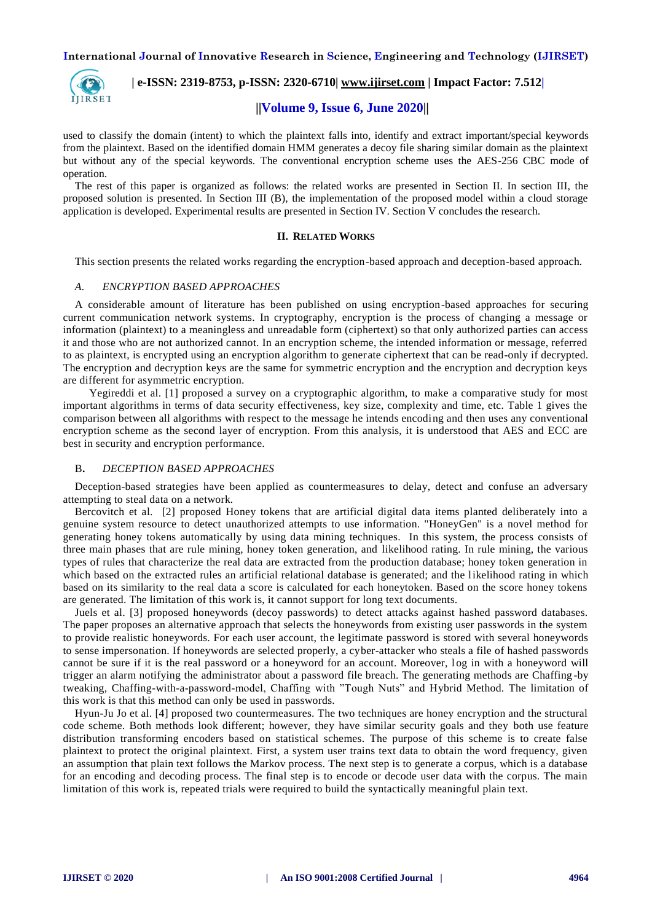

 **| e-ISSN: 2319-8753, p-ISSN: 2320-6710| [www.ijirset.com](http://www.ijirset.com/) | Impact Factor: 7.512|**

# **||Volume 9, Issue 6, June 2020||**

used to classify the domain (intent) to which the plaintext falls into, identify and extract important/special keywords from the plaintext. Based on the identified domain HMM generates a decoy file sharing similar domain as the plaintext but without any of the special keywords. The conventional encryption scheme uses the AES-256 CBC mode of operation.

The rest of this paper is organized as follows: the related works are presented in Section II. In section III, the proposed solution is presented. In Section III (B), the implementation of the proposed model within a cloud storage application is developed. Experimental results are presented in Section IV. Section V concludes the research.

## **II. RELATED WORKS**

This section presents the related works regarding the encryption-based approach and deception-based approach.

## *A. ENCRYPTION BASED APPROACHES*

A considerable amount of literature has been published on using encryption-based approaches for securing current communication network systems. In cryptography, encryption is the process of changing a message or information (plaintext) to a meaningless and unreadable form (ciphertext) so that only authorized parties can access it and those who are not authorized cannot. In an encryption scheme, the intended information or message, referred to as plaintext, is encrypted using an encryption algorithm to generate ciphertext that can be read-only if decrypted. The encryption and decryption keys are the same for symmetric encryption and the encryption and decryption keys are different for asymmetric encryption.

 Yegireddi et al. [1] proposed a survey on a cryptographic algorithm, to make a comparative study for most important algorithms in terms of data security effectiveness, key size, complexity and time, etc. Table 1 gives the comparison between all algorithms with respect to the message he intends encoding and then uses any conventional encryption scheme as the second layer of encryption. From this analysis, it is understood that AES and ECC are best in security and encryption performance.

## B**.** *DECEPTION BASED APPROACHES*

Deception-based strategies have been applied as countermeasures to delay, detect and confuse an adversary attempting to steal data on a network.

Bercovitch et al. [2] proposed Honey tokens that are artificial digital data items planted deliberately into a genuine system resource to detect unauthorized attempts to use information. "HoneyGen" is a novel method for generating honey tokens automatically by using data mining techniques. In this system, the process consists of three main phases that are rule mining, honey token generation, and likelihood rating. In rule mining, the various types of rules that characterize the real data are extracted from the production database; honey token generation in which based on the extracted rules an artificial relational database is generated; and the likelihood rating in which based on its similarity to the real data a score is calculated for each honeytoken. Based on the score honey tokens are generated. The limitation of this work is, it cannot support for long text documents.

Juels et al. [3] proposed honeywords (decoy passwords) to detect attacks against hashed password databases. The paper proposes an alternative approach that selects the honeywords from existing user passwords in the system to provide realistic honeywords. For each user account, the legitimate password is stored with several honeywords to sense impersonation. If honeywords are selected properly, a cyber-attacker who steals a file of hashed passwords cannot be sure if it is the real password or a honeyword for an account. Moreover, log in with a honeyword will trigger an alarm notifying the administrator about a password file breach. The generating methods are Chaffing -by tweaking, Chaffing-with-a-password-model, Chaffing with "Tough Nuts" and Hybrid Method. The limitation of this work is that this method can only be used in passwords.

Hyun-Ju Jo et al. [4] proposed two countermeasures. The two techniques are honey encryption and the structural code scheme. Both methods look different; however, they have similar security goals and they both use feature distribution transforming encoders based on statistical schemes. The purpose of this scheme is to create false plaintext to protect the original plaintext. First, a system user trains text data to obtain the word frequency, given an assumption that plain text follows the Markov process. The next step is to generate a corpus, which is a database for an encoding and decoding process. The final step is to encode or decode user data with the corpus. The main limitation of this work is, repeated trials were required to build the syntactically meaningful plain text.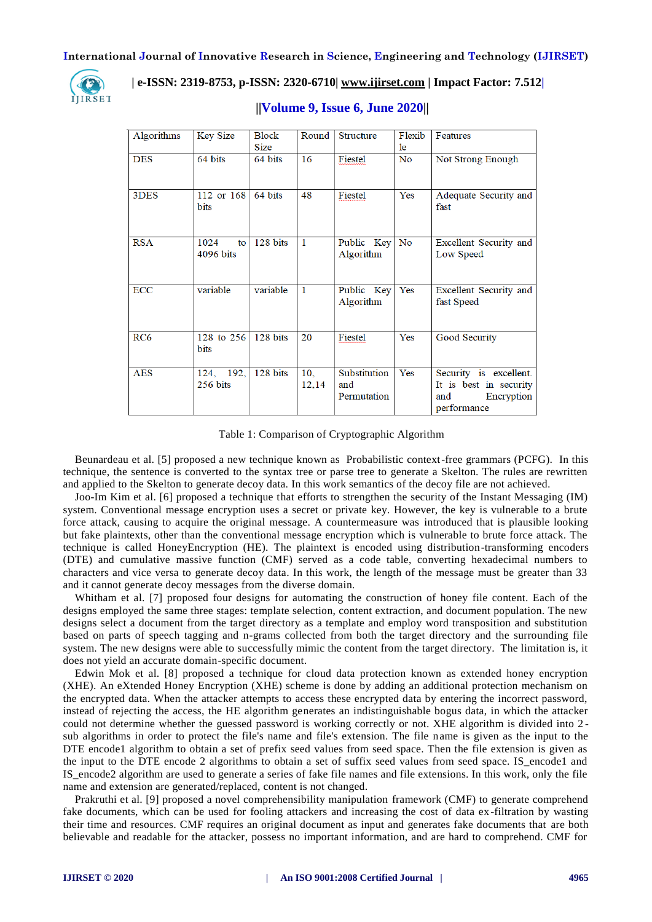

# **| e-ISSN: 2319-8753, p-ISSN: 2320-6710| [www.ijirset.com](http://www.ijirset.com/) | Impact Factor: 7.512|**

| Algorithms      | <b>Key Size</b> | <b>Block</b> | Round           | <b>Structure</b> | Flexib         | Features               |
|-----------------|-----------------|--------------|-----------------|------------------|----------------|------------------------|
|                 |                 | <b>Size</b>  |                 |                  | le.            |                        |
| <b>DES</b>      | 64 bits         | 64 bits      | 16              | Fiestel          | N <sub>0</sub> | Not Strong Enough      |
|                 |                 |              |                 |                  |                |                        |
| 3DES            | 112 or 168      | 64 bits      | 48              | Fiestel          | Yes            | Adequate Security and  |
|                 | <b>bits</b>     |              |                 |                  |                | fast                   |
|                 |                 |              |                 |                  |                |                        |
| <b>RSA</b>      | 1024<br>to      | 128 bits     | 1               | Public Key       | No             | Excellent Security and |
|                 | 4096 bits       |              |                 | Algorithm        |                | Low Speed              |
|                 |                 |              |                 |                  |                |                        |
| <b>ECC</b>      | variable        | variable     | $\mathbf{1}$    | Public Key       | Yes            | Excellent Security and |
|                 |                 |              |                 | Algorithm        |                | fast Speed             |
|                 |                 |              |                 |                  |                |                        |
| RC <sub>6</sub> | 128 to 256      | 128 bits     | 20              | Fiestel          | Yes            | Good Security          |
|                 | bits            |              |                 |                  |                |                        |
| <b>AES</b>      | 124, 192,       | 128 bits     | 10 <sub>1</sub> | Substitution     | Yes            | Security is excellent. |
|                 | 256 bits        |              | 12,14           | and              |                | It is best in security |
|                 |                 |              |                 | Permutation      |                | Encryption<br>and      |
|                 |                 |              |                 |                  |                | performance            |

# **||Volume 9, Issue 6, June 2020||**

Table 1: Comparison of Cryptographic Algorithm

Beunardeau et al. [5] proposed a new technique known as Probabilistic context-free grammars (PCFG). In this technique, the sentence is converted to the syntax tree or parse tree to generate a Skelton. The rules are rewritten and applied to the Skelton to generate decoy data. In this work semantics of the decoy file are not achieved.

Joo-Im Kim et al. [6] proposed a technique that efforts to strengthen the security of the Instant Messaging (IM) system. Conventional message encryption uses a secret or private key. However, the key is vulnerable to a brute force attack, causing to acquire the original message. A countermeasure was introduced that is plausible looking but fake plaintexts, other than the conventional message encryption which is vulnerable to brute force attack. The technique is called HoneyEncryption (HE). The plaintext is encoded using distribution-transforming encoders (DTE) and cumulative massive function (CMF) served as a code table, converting hexadecimal numbers to characters and vice versa to generate decoy data. In this work, the length of the message must be greater than 33 and it cannot generate decoy messages from the diverse domain.

Whitham et al. [7] proposed four designs for automating the construction of honey file content. Each of the designs employed the same three stages: template selection, content extraction, and document population. The new designs select a document from the target directory as a template and employ word transposition and substitution based on parts of speech tagging and n-grams collected from both the target directory and the surrounding file system. The new designs were able to successfully mimic the content from the target directory. The limitation is, it does not yield an accurate domain-specific document.

Edwin Mok et al. [8] proposed a technique for cloud data protection known as extended honey encryption (XHE). An eXtended Honey Encryption (XHE) scheme is done by adding an additional protection mechanism on the encrypted data. When the attacker attempts to access these encrypted data by entering the incorrect password, instead of rejecting the access, the HE algorithm generates an indistinguishable bogus data, in which the attacker could not determine whether the guessed password is working correctly or not. XHE algorithm is divided into 2 sub algorithms in order to protect the file's name and file's extension. The file name is given as the input to the DTE encode1 algorithm to obtain a set of prefix seed values from seed space. Then the file extension is given as the input to the DTE encode 2 algorithms to obtain a set of suffix seed values from seed space. IS\_encode1 and IS encode2 algorithm are used to generate a series of fake file names and file extensions. In this work, only the file name and extension are generated/replaced, content is not changed.

Prakruthi et al. [9] proposed a novel comprehensibility manipulation framework (CMF) to generate comprehend fake documents, which can be used for fooling attackers and increasing the cost of data ex-filtration by wasting their time and resources. CMF requires an original document as input and generates fake documents that are both believable and readable for the attacker, possess no important information, and are hard to comprehend. CMF for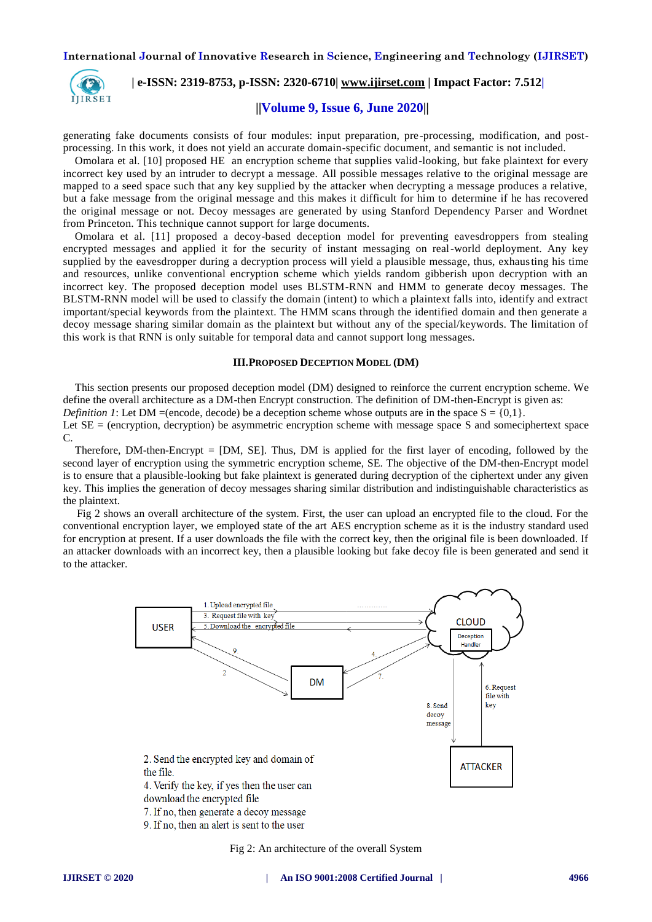

 **| e-ISSN: 2319-8753, p-ISSN: 2320-6710| [www.ijirset.com](http://www.ijirset.com/) | Impact Factor: 7.512|**

# **||Volume 9, Issue 6, June 2020||**

generating fake documents consists of four modules: input preparation, pre-processing, modification, and postprocessing. In this work, it does not yield an accurate domain-specific document, and semantic is not included.

Omolara et al. [10] proposed HE an encryption scheme that supplies valid-looking, but fake plaintext for every incorrect key used by an intruder to decrypt a message. All possible messages relative to the original message are mapped to a seed space such that any key supplied by the attacker when decrypting a message produces a relative, but a fake message from the original message and this makes it difficult for him to determine if he has recovered the original message or not. Decoy messages are generated by using Stanford Dependency Parser and Wordnet from Princeton. This technique cannot support for large documents.

Omolara et al. [11] proposed a decoy-based deception model for preventing eavesdroppers from stealing encrypted messages and applied it for the security of instant messaging on real-world deployment. Any key supplied by the eavesdropper during a decryption process will yield a plausible message, thus, exhausting his time and resources, unlike conventional encryption scheme which yields random gibberish upon decryption with an incorrect key. The proposed deception model uses BLSTM-RNN and HMM to generate decoy messages. The BLSTM-RNN model will be used to classify the domain (intent) to which a plaintext falls into, identify and extract important/special keywords from the plaintext. The HMM scans through the identified domain and then generate a decoy message sharing similar domain as the plaintext but without any of the special/keywords. The limitation of this work is that RNN is only suitable for temporal data and cannot support long messages.

#### **III.PROPOSED DECEPTION MODEL (DM)**

This section presents our proposed deception model (DM) designed to reinforce the current encryption scheme. We define the overall architecture as a DM-then Encrypt construction. The definition of DM-then-Encrypt is given as:

*Definition 1*: Let DM =(encode, decode) be a deception scheme whose outputs are in the space  $S = \{0,1\}$ .

Let  $SE =$  (encryption, decryption) be asymmetric encryption scheme with message space S and someciphertext space C.

Therefore, DM-then-Encrypt = [DM, SE]. Thus, DM is applied for the first layer of encoding, followed by the second layer of encryption using the symmetric encryption scheme, SE. The objective of the DM-then-Encrypt model is to ensure that a plausible-looking but fake plaintext is generated during decryption of the ciphertext under any given key. This implies the generation of decoy messages sharing similar distribution and indistinguishable characteristics as the plaintext.

 Fig 2 shows an overall architecture of the system. First, the user can upload an encrypted file to the cloud. For the conventional encryption layer, we employed state of the art AES encryption scheme as it is the industry standard used for encryption at present. If a user downloads the file with the correct key, then the original file is been downloaded. If an attacker downloads with an incorrect key, then a plausible looking but fake decoy file is been generated and send it to the attacker.



Fig 2: An architecture of the overall System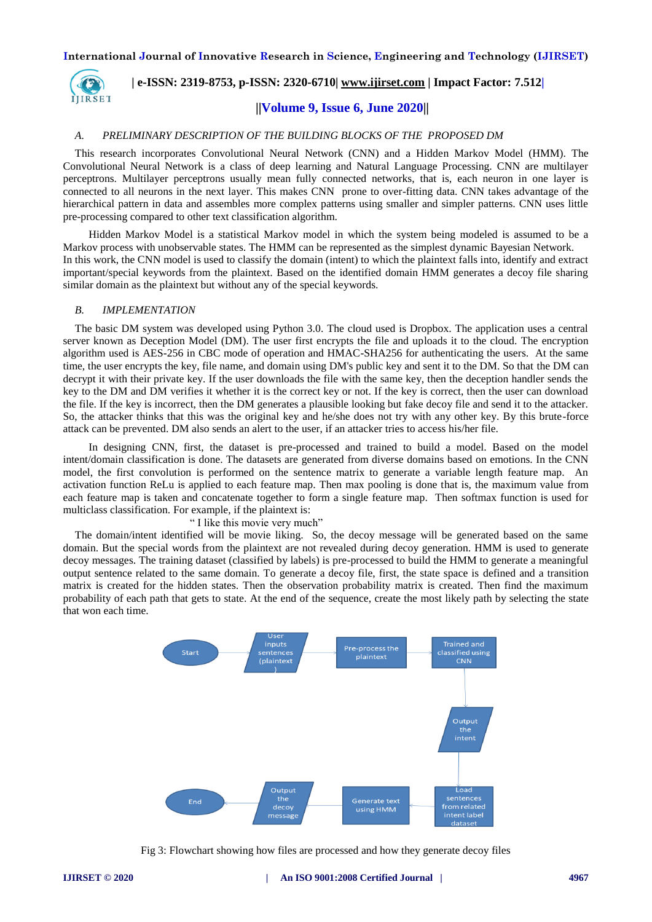

# **| e-ISSN: 2319-8753, p-ISSN: 2320-6710| [www.ijirset.com](http://www.ijirset.com/) | Impact Factor: 7.512|**

# **||Volume 9, Issue 6, June 2020||**

## *A. PRELIMINARY DESCRIPTION OF THE BUILDING BLOCKS OF THE PROPOSED DM*

This research incorporates Convolutional Neural Network (CNN) and a Hidden Markov Model (HMM). The Convolutional Neural Network is a class of deep learning and Natural Language Processing. CNN are multilayer perceptrons. Multilayer perceptrons usually mean fully connected networks, that is, each neuron in one layer is connected to all neurons in the next layer. This makes CNN prone to over-fitting data. CNN takes advantage of the hierarchical pattern in data and assembles more complex patterns using smaller and simpler patterns. CNN uses little pre-processing compared to other text classification algorithm.

 Hidden Markov Model is a statistical Markov model in which the system being modeled is assumed to be a Markov process with unobservable states. The HMM can be represented as the simplest dynamic Bayesian Network. In this work, the CNN model is used to classify the domain (intent) to which the plaintext falls into, identify and extract important/special keywords from the plaintext. Based on the identified domain HMM generates a decoy file sharing similar domain as the plaintext but without any of the special keywords.

#### *B. IMPLEMENTATION*

The basic DM system was developed using Python 3.0. The cloud used is Dropbox. The application uses a central server known as Deception Model (DM). The user first encrypts the file and uploads it to the cloud. The encryption algorithm used is AES-256 in CBC mode of operation and HMAC-SHA256 for authenticating the users. At the same time, the user encrypts the key, file name, and domain using DM's public key and sent it to the DM. So that the DM can decrypt it with their private key. If the user downloads the file with the same key, then the deception handler sends the key to the DM and DM verifies it whether it is the correct key or not. If the key is correct, then the user can download the file. If the key is incorrect, then the DM generates a plausible looking but fake decoy file and send it to the attacker. So, the attacker thinks that this was the original key and he/she does not try with any other key. By this brute-force attack can be prevented. DM also sends an alert to the user, if an attacker tries to access his/her file.

 In designing CNN, first, the dataset is pre-processed and trained to build a model. Based on the model intent/domain classification is done. The datasets are generated from diverse domains based on emotions. In the CNN model, the first convolution is performed on the sentence matrix to generate a variable length feature map. An activation function ReLu is applied to each feature map. Then max pooling is done that is, the maximum value from each feature map is taken and concatenate together to form a single feature map. Then softmax function is used for multiclass classification. For example, if the plaintext is:

" I like this movie very much"

The domain/intent identified will be movie liking. So, the decoy message will be generated based on the same domain. But the special words from the plaintext are not revealed during decoy generation. HMM is used to generate decoy messages. The training dataset (classified by labels) is pre-processed to build the HMM to generate a meaningful output sentence related to the same domain. To generate a decoy file, first, the state space is defined and a transition matrix is created for the hidden states. Then the observation probability matrix is created. Then find the maximum probability of each path that gets to state. At the end of the sequence, create the most likely path by selecting the state that won each time.



Fig 3: Flowchart showing how files are processed and how they generate decoy files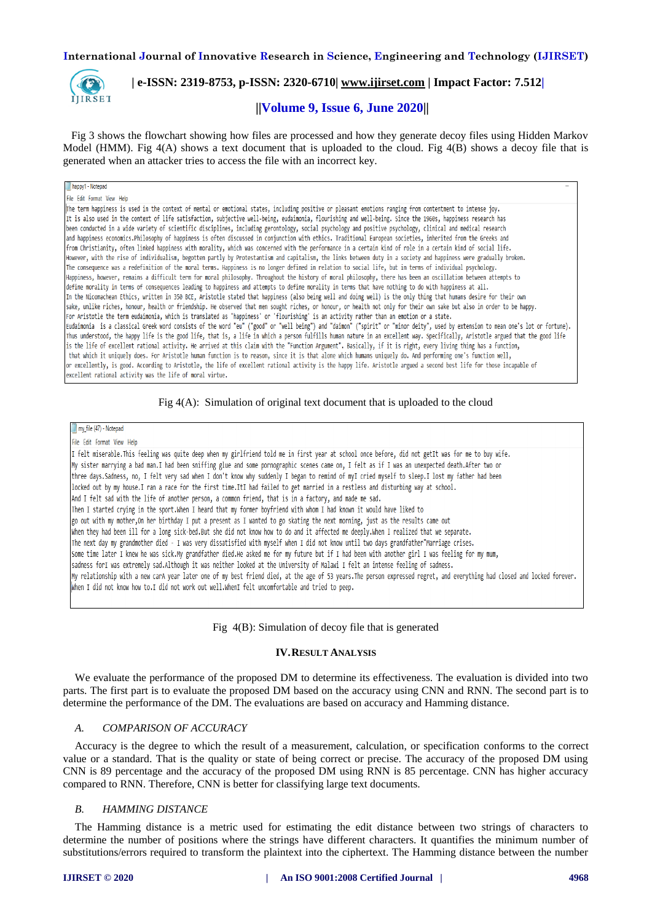

# **| e-ISSN: 2319-8753, p-ISSN: 2320-6710| [www.ijirset.com](http://www.ijirset.com/) | Impact Factor: 7.512|**

# **||Volume 9, Issue 6, June 2020||**

 Fig 3 shows the flowchart showing how files are processed and how they generate decoy files using Hidden Markov Model (HMM). Fig 4(A) shows a text document that is uploaded to the cloud. Fig 4(B) shows a decoy file that is generated when an attacker tries to access the file with an incorrect key.

#### happy1 - Notepad

File Edit Format View Help

The term happiness is used in the context of mental or emotional states, including positive or pleasant emotions ranging from contentment to intense joy. It is also used in the context of life satisfaction, subjective well-being, eudaimonia, flourishing and well-being. Since the 1960s, happiness research has been conducted in a wide variety of scientific disciplines, including gerontology, social psychology and positive psychology, clinical and medical research and happiness economics.Philosophy of happiness is often discussed in conjunction with ethics. Traditional European societies, inherited from the Greeks and from Christianity, often linked happiness with morality, which was concerned with the performance in a certain kind of role in a certain kind of social life. However, with the rise of individualism, begotten partly by Protestantism and capitalism, the links between duty in a society and happiness were gradually broken. The consequence was a redefinition of the moral terms. Happiness is no longer defined in relation to social life, but in terms of individual psychology. Happiness, however, remains a difficult term for moral philosophy. Throughout the history of moral philosophy, there has been an oscillation between attempts to define morality in terms of consequences leading to happiness and attempts to define morality in terms that have nothing to do with happiness at all. In the Nicomachean Ethics, written in 350 BCE, Aristotle stated that happiness (also being well and doing well) is the only thing that humans desire for their own sake, unlike riches, honour, health or friendship. He observed that men sought riches, or honour, or health not only for their own sake but also in order to be happy. For Aristotle the term eudaimonia, which is translated as 'happiness' or 'flourishing' is an activity rather than an emotion or a state. Eudaimonia is a classical Greek word consists of the word "eu" ("good" or "well being") and "daimon" ("spirit" or "minor deity", used by extension to mean one's lot or fortune). Thus understood, the happy life is the good life, that is, a life in which a person fulfills human nature in an excellent way. Specifically, Aristotle argued that the good life is the life of excellent rational activity. He arrived at this claim with the "Function Argument". Basically, if it is right, every living thing has a function, that which it uniquely does. For Aristotle human function is to reason, since it is that alone which humans uniquely do. And performing one's function well, or excellently, is good. According to Aristotle, the life of excellent rational activity is the happy life. Aristotle argued a second best life for those incapable of excellent rational activity was the life of moral virtue.

## Fig 4(A): Simulation of original text document that is uploaded to the cloud

my file (47) - Notepad

File Edit Format View Help

I felt miserable.This feeling was quite deep when my girlfriend told me in first year at school once before, did not getIt was for me to buy wife. My sister marrying a bad man.I had been sniffing glue and some pornographic scenes came on, I felt as if I was an unexpected death.After two or three days.Sadness, no, I felt very sad when I don't know why suddenly I began to remind of myI cried myself to sleep.I lost my father had been locked out by my house.I ran a race for the first time.ItI had failed to get married in a restless and disturbing way at school. And I felt sad with the life of another person, a common friend, that is in a factory, and made me sad. Then I started crying in the sport.When I heard that my former boyfriend with whom I had known it would have liked to go out with my mother, On her birthday I put a present as I wanted to go skating the next morning, just as the results came out when they had been ill for a long sick-bed.But she did not know how to do and it affected me deeply.When I realized that we separate. The next day my grandmother died - I was very dissatisfied with myself when I did not know until two days grandfather"Marriage crises. Some time later I knew he was sick.My grandfather died.He asked me for my future but if I had been with another girl I was feeling for my mum, sadness forI was extremely sad.Although it was neither looked at the University of Malawi I felt an intense feeling of sadness. My relationship with a new carA year later one of my best friend died, at the age of 53 years.The person expressed regret, and everything had closed and locked forever. when I did not know how to.I did not work out well.WhenI felt uncomfortable and tried to peep.

# Fig 4(B): Simulation of decoy file that is generated

# **IV.RESULT ANALYSIS**

We evaluate the performance of the proposed DM to determine its effectiveness. The evaluation is divided into two parts. The first part is to evaluate the proposed DM based on the accuracy using CNN and RNN. The second part is to determine the performance of the DM. The evaluations are based on accuracy and Hamming distance.

## *A. COMPARISON OF ACCURACY*

Accuracy is the degree to which the result of a measurement, calculation, or specification conforms to the correct value or a standard. That is the quality or state of being correct or precise. The accuracy of the proposed DM using CNN is 89 percentage and the accuracy of the proposed DM using RNN is 85 percentage. CNN has higher accuracy compared to RNN. Therefore, CNN is better for classifying large text documents.

# *B. HAMMING DISTANCE*

The Hamming distance is a metric used for estimating the edit distance between two strings of characters to determine the number of positions where the strings have different characters. It quantifies the minimum number of substitutions/errors required to transform the plaintext into the ciphertext. The Hamming distance between the number